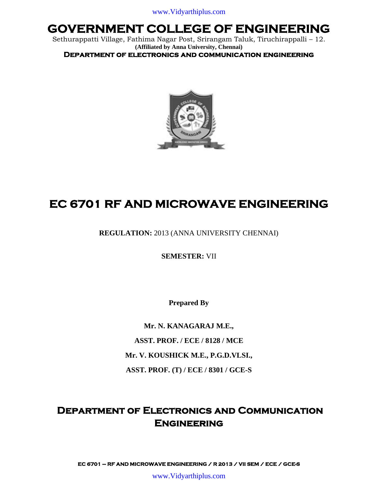Sethurappatti Village, Fathima Nagar Post, Srirangam Taluk, Tiruchirappalli – 12. **(Affiliated by Anna University, Chennai)**

**Department of electronics and communication engineering** 



# **EC 6701 RF AND MICROWAVE ENGINEERING**

**REGULATION:** 2013 (ANNA UNIVERSITY CHENNAI)

**SEMESTER:** VII

**Prepared By**

**Mr. N. KANAGARAJ M.E., ASST. PROF. / ECE / 8128 / MCE Mr. V. KOUSHICK M.E., P.G.D.VLSI., ASST. PROF. (T) / ECE / 8301 / GCE-S**

### **Department of Electronics and Communication Engineering**

**EC 6701 – RF AND MICROWAVE ENGINEERING / R 2013 / VII SEM / ECE / GCE-S** 

www.Vidyarthiplus.com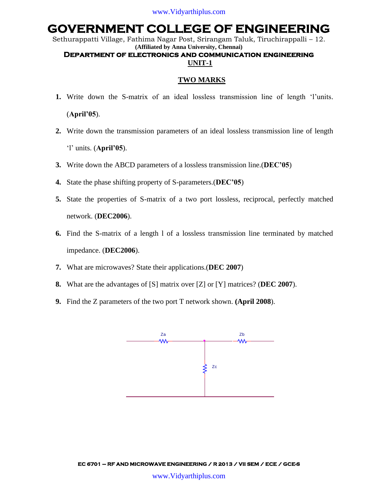Sethurappatti Village, Fathima Nagar Post, Srirangam Taluk, Tiruchirappalli – 12. **(Affiliated by Anna University, Chennai)**

### **Department of electronics and communication engineering UNIT-1**

### **TWO MARKS**

- **1.** Write down the S-matrix of an ideal lossless transmission line of length "l"units. (**April'05**).
- **2.** Write down the transmission parameters of an ideal lossless transmission line of length "l" units. (**April'05**).
- **3.** Write down the ABCD parameters of a lossless transmission line.(**DEC'05**)
- **4.** State the phase shifting property of S-parameters.(**DEC'05**)
- **5.** State the properties of S-matrix of a two port lossless, reciprocal, perfectly matched network. (**DEC2006**).
- **6.** Find the S-matrix of a length l of a lossless transmission line terminated by matched impedance. (**DEC2006**).
- **7.** What are microwaves? State their applications.(**DEC 2007**)
- **8.** What are the advantages of [S] matrix over [Z] or [Y] matrices? (**DEC 2007**).
- **9.** Find the Z parameters of the two port T network shown. **(April 2008**).

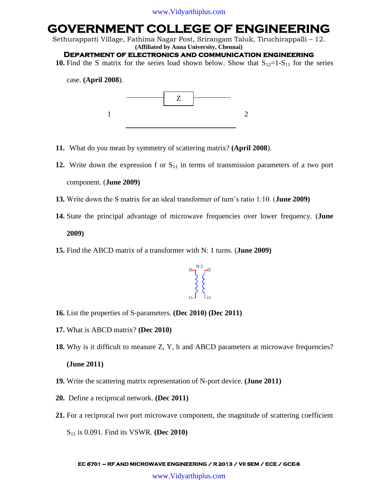Sethurappatti Village, Fathima Nagar Post, Srirangam Taluk, Tiruchirappalli – 12. **(Affiliated by Anna University, Chennai)**

### **Department of electronics and communication engineering**

**10.** Find the S matrix for the series load shown below. Show that  $S_{12}=1-S_{11}$  for the series

case. **(April 2008**).



- **11.** What do you mean by symmetry of scattering matrix? **(April 2008**).
- **12.** Write down the expression f or  $S_{11}$  in terms of transmission parameters of a two port component. (**June 2009)**
- **13.** Write down the S matrix for an ideal transformer of turn"s ratio 1:10. (**June 2009)**
- **14.** State the principal advantage of microwave frequencies over lower frequency. (**June 2009)**
- **15.** Find the ABCD matrix of a transformer with N: 1 turns. (**June 2009)**



- **16.** List the properties of S-parameters. **(Dec 2010) (Dec 2011)**
- **17.** What is ABCD matrix? **(Dec 2010)**
- **18.** Why is it difficult to measure Z, Y, h and ABCD parameters at microwave frequencies? **(June 2011)**
- **19.** Write the scattering matrix representation of N-port device. **(June 2011)**
- **20.** Define a reciprocal network. **(Dec 2011)**
- **21.** For a reciprocal two port microwave component, the magnitude of scattering coefficient

S<sup>11</sup> is 0.091. Find its VSWR. **(Dec 2010)**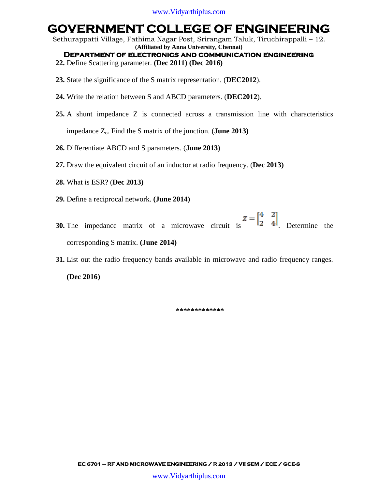Sethurappatti Village, Fathima Nagar Post, Srirangam Taluk, Tiruchirappalli – 12. **(Affiliated by Anna University, Chennai)**

**Department of electronics and communication engineering** 

- **22.** Define Scattering parameter. **(Dec 2011) (Dec 2016)**
- **23.** State the significance of the S matrix representation. (**DEC2012**).
- **24.** Write the relation between S and ABCD parameters. (**DEC2012**).
- **25.** A shunt impedance Z is connected across a transmission line with characteristics impedance  $Z_0$ . Find the S matrix of the junction. (**June 2013**)

**26.** Differentiate ABCD and S parameters. (**June 2013)**

- **27.** Draw the equivalent circuit of an inductor at radio frequency. (**Dec 2013)**
- **28.** What is ESR? (**Dec 2013)**
- **29.** Define a reciprocal network. **(June 2014)**
- **30.** The impedance matrix of a microwave circuit is  $Z = \begin{bmatrix} 4 & 2 \\ 2 & 4 \end{bmatrix}$ . Determine the corresponding S matrix. **(June 2014)**

**31.** List out the radio frequency bands available in microwave and radio frequency ranges.

**(Dec 2016)**

**\*\*\*\*\*\*\*\*\*\*\*\*\***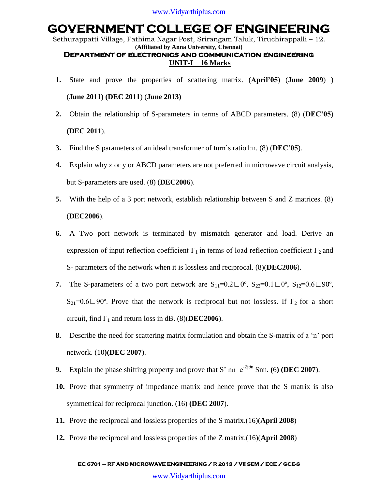Sethurappatti Village, Fathima Nagar Post, Srirangam Taluk, Tiruchirappalli – 12. **(Affiliated by Anna University, Chennai)**

### **Department of electronics and communication engineering UNIT-I 16 Marks**

- **1.** State and prove the properties of scattering matrix. (**April'05**) (**June 2009**) ) (**June 2011) (DEC 2011**) (**June 2013)**
- **2.** Obtain the relationship of S-parameters in terms of ABCD parameters. (8) (**DEC'05**) **(DEC 2011**).
- **3.** Find the S parameters of an ideal transformer of turn"s ratio1:n. (8) (**DEC'05**).
- **4.** Explain why z or y or ABCD parameters are not preferred in microwave circuit analysis, but S-parameters are used. (8) (**DEC2006**).
- **5.** With the help of a 3 port network, establish relationship between S and Z matrices. (8) (**DEC2006**).
- **6.** A Two port network is terminated by mismatch generator and load. Derive an expression of input reflection coefficient  $\Gamma_1$  in terms of load reflection coefficient  $\Gamma_2$  and S- parameters of the network when it is lossless and reciprocal. (8)(**DEC2006**).
- 7. The S-parameters of a two port network are  $S_{11}=0.2\text{L0}^{\circ}$ ,  $S_{22}=0.1\text{L0}^{\circ}$ ,  $S_{12}=0.6\text{L90}^{\circ}$ , S<sub>21</sub>=0.6∟90°. Prove that the network is reciprocal but not lossless. If  $\Gamma_2$  for a short circuit, find  $\Gamma_1$  and return loss in dB. (8)(**DEC2006**).
- **8.** Describe the need for scattering matrix formulation and obtain the S-matrix of a "n" port network. (10**)(DEC 2007**).
- **9.** Explain the phase shifting property and prove that S' nn= $e^{-2j\theta n}$  Snn. **(6) (DEC 2007**).
- **10.** Prove that symmetry of impedance matrix and hence prove that the S matrix is also symmetrical for reciprocal junction. (16) **(DEC 2007**).
- **11.** Prove the reciprocal and lossless properties of the S matrix.(16)(**April 2008**)
- **12.** Prove the reciprocal and lossless properties of the Z matrix.(16)(**April 2008**)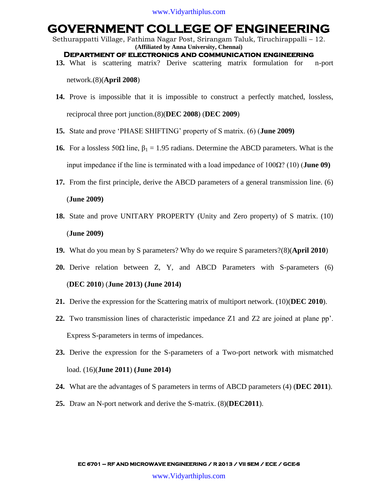Sethurappatti Village, Fathima Nagar Post, Srirangam Taluk, Tiruchirappalli – 12. **(Affiliated by Anna University, Chennai)**

- **Department of electronics and communication engineering**
- **13.** What is scattering matrix? Derive scattering matrix formulation for n-port

network.(8)(**April 2008**)

- **14.** Prove is impossible that it is impossible to construct a perfectly matched, lossless, reciprocal three port junction.(8)(**DEC 2008**) (**DEC 2009**)
- **15.** State and prove "PHASE SHIFTING" property of S matrix. (6) (**June 2009)**
- **16.** For a lossless 50Ω line,  $β_1 = 1.95$  radians. Determine the ABCD parameters. What is the input impedance if the line is terminated with a load impedance of 100Ω? (10) (**June 09)**
- **17.** From the first principle, derive the ABCD parameters of a general transmission line. (6) (**June 2009)**
- **18.** State and prove UNITARY PROPERTY (Unity and Zero property) of S matrix. (10) (**June 2009)**
- **19.** What do you mean by S parameters? Why do we require S parameters?(8)(**April 2010**)
- **20.** Derive relation between Z, Y, and ABCD Parameters with S-parameters (6) (**DEC 2010**) (**June 2013) (June 2014)**
- **21.** Derive the expression for the Scattering matrix of multiport network. (10)(**DEC 2010**).
- **22.** Two transmission lines of characteristic impedance Z1 and Z2 are joined at plane pp". Express S-parameters in terms of impedances.
- **23.** Derive the expression for the S-parameters of a Two-port network with mismatched load. (16)(**June 2011**) **(June 2014)**
- **24.** What are the advantages of S parameters in terms of ABCD parameters (4) (**DEC 2011**).
- **25.** Draw an N-port network and derive the S-matrix. (8)(**DEC2011**).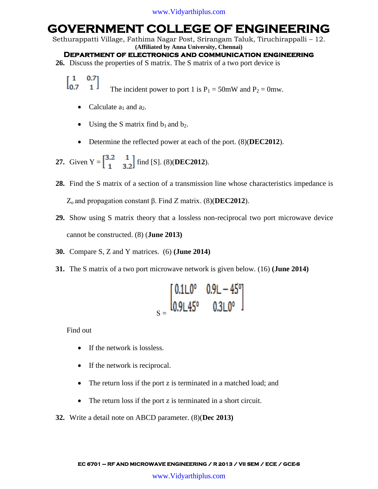Sethurappatti Village, Fathima Nagar Post, Srirangam Taluk, Tiruchirappalli – 12.

**(Affiliated by Anna University, Chennai)**

**Department of electronics and communication engineering** 

**26.** Discuss the properties of S matrix. The S matrix of a two port device is

 $\begin{bmatrix} 1 & 0.7 \\ 0.7 & 1 \end{bmatrix}$ The incident power to port 1 is  $P_1 = 50$ mW and  $P_2 = 0$ mw.

- Calculate  $a_1$  and  $a_2$ .
- Using the S matrix find  $b_1$  and  $b_2$ .
- Determine the reflected power at each of the port. (8)(**DEC2012**).

**27.** Given  $Y = \begin{bmatrix} 3.2 & 1 \\ 1 & 3.2 \end{bmatrix}$  find [S]. (8)(**DEC2012**).

- **28.** Find the S matrix of a section of a transmission line whose characteristics impedance is Z<sup>o</sup> and propagation constant β. Find Z matrix. (8)(**DEC2012**).
- **29.** Show using S matrix theory that a lossless non-reciprocal two port microwave device cannot be constructed. (8) (**June 2013)**
- **30.** Compare S, Z and Y matrices. (6) **(June 2014)**
- **31.** The S matrix of a two port microwave network is given below. (16) **(June 2014)**

$$
S = \begin{bmatrix} 0.1L0^{\circ} & 0.9L - 45^{\circ} \\ 0.9L45^{\circ} & 0.3L0^{\circ} \end{bmatrix}
$$

Find out

- If the network is lossless.
- If the network is reciprocal.
- The return loss if the port z is terminated in a matched load; and
- The return loss if the port z is terminated in a short circuit.
- **32.** Write a detail note on ABCD parameter. (8)(**Dec 2013)**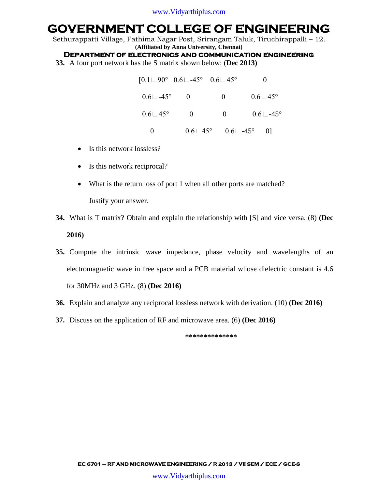Sethurappatti Village, Fathima Nagar Post, Srirangam Taluk, Tiruchirappalli – 12. **(Affiliated by Anna University, Chennai)**

**Department of electronics and communication engineering** 

**33.** A four port network has the S matrix shown below: (**Dec 2013)**

|                         | $[0.1 \cup 90^{\circ} \quad 0.6 \cup -45^{\circ} \quad 0.6 \cup 45^{\circ}]$ |                                                   |                         |
|-------------------------|------------------------------------------------------------------------------|---------------------------------------------------|-------------------------|
| $0.6\Box -45^{\circ}$   | $\overline{0}$                                                               | $\overline{0}$                                    | $0.6 \sqcup 45^{\circ}$ |
| $0.6 \sqcup 45^{\circ}$ | $\overline{0}$                                                               | $\overline{0}$                                    | $0.6\Box - 45^{\circ}$  |
|                         |                                                                              | $0.6 \perp 45^{\circ}$ $0.6 \perp -45^{\circ}$ 0] |                         |

- $\bullet$  Is this network lossless?
- Is this network reciprocal?
- What is the return loss of port 1 when all other ports are matched? Justify your answer.
- **34.** What is T matrix? Obtain and explain the relationship with [S] and vice versa. (8) **(Dec 2016)**
- **35.** Compute the intrinsic wave impedance, phase velocity and wavelengths of an electromagnetic wave in free space and a PCB material whose dielectric constant is 4.6 for 30MHz and 3 GHz. (8) **(Dec 2016)**
- **36.** Explain and analyze any reciprocal lossless network with derivation. (10) **(Dec 2016)**
- **37.** Discuss on the application of RF and microwave area. (6) **(Dec 2016)**

**\*\*\*\*\*\*\*\*\*\*\*\*\*\***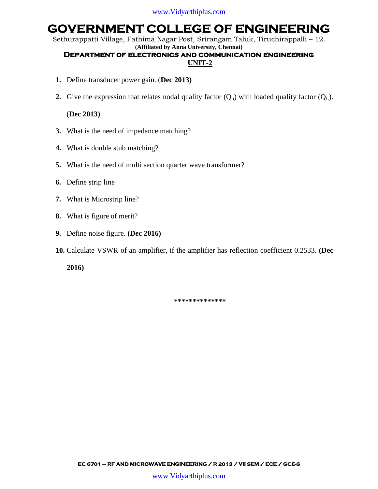Sethurappatti Village, Fathima Nagar Post, Srirangam Taluk, Tiruchirappalli – 12. **(Affiliated by Anna University, Chennai)**

### **Department of electronics and communication engineering UNIT-2**

- **1.** Define transducer power gain. (**Dec 2013)**
- **2.** Give the expression that relates nodal quality factor  $(Q_n)$  with loaded quality factor  $(Q_L)$ .

#### (**Dec 2013)**

- **3.** What is the need of impedance matching?
- **4.** What is double stub matching?
- **5.** What is the need of multi section quarter wave transformer?
- **6.** Define strip line
- **7.** What is Microstrip line?
- **8.** What is figure of merit?
- **9.** Define noise figure. **(Dec 2016)**
- **10.** Calculate VSWR of an amplifier, if the amplifier has reflection coefficient 0.2533. **(Dec**

**2016)**

**\*\*\*\*\*\*\*\*\*\*\*\*\*\***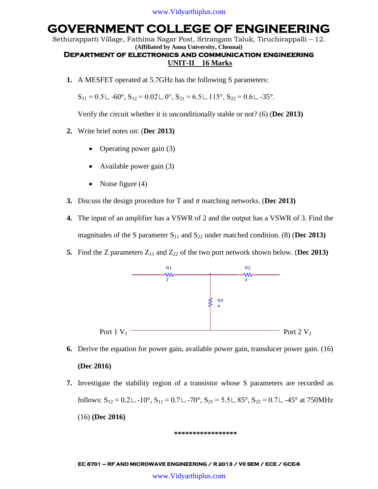Sethurappatti Village, Fathima Nagar Post, Srirangam Taluk, Tiruchirappalli – 12. **(Affiliated by Anna University, Chennai)**

#### **Department of electronics and communication engineering UNIT-II 16 Marks**

**1.** A MESFET operated at 5.7GHz has the following S parameters:

 $S_{11} = 0.5 \text{ L} - 60^\circ$ ,  $S_{12} = 0.02 \text{ L} 0^\circ$ ,  $S_{21} = 6.5 \text{ L} 115^\circ$ ,  $S_{22} = 0.6 \text{ L} - 35^\circ$ .

Verify the circuit whether it is unconditionally stable or not? (6) (**Dec 2013)**

- **2.** Write brief notes on: (**Dec 2013)**
	- Operating power gain (3)
	- Available power gain (3)
	- Noise figure  $(4)$
- **3.** Discuss the design procedure for T and  $\pi$  matching networks. (Dec 2013)
- **4.** The input of an amplifier has a VSWR of 2 and the output has a VSWR of 3. Find the magnitudes of the S parameter  $S_{11}$  and  $S_{22}$  under matched condition. (8) (Dec 2013)
- **5.** Find the Z parameters  $Z_{11}$  and  $Z_{22}$  of the two port network shown below. (Dec 2013)



- **6.** Derive the equation for power gain, available power gain, transducer power gain. (16) **(Dec 2016)**
- **7.** Investigate the stability region of a transistor whose S parameters are recorded as follows:  $S_{12} = 0.2 \text{L} - 10^{\circ}$ ,  $S_{11} = 0.7 \text{L} - 70^{\circ}$ ,  $S_{21} = 5.5 \text{L} - 85^{\circ}$ ,  $S_{22} = 0.7 \text{L} - 45^{\circ}$  at 750MHz (16) **(Dec 2016)**

#### **\*\*\*\*\*\*\*\*\*\*\*\*\*\*\*\*\***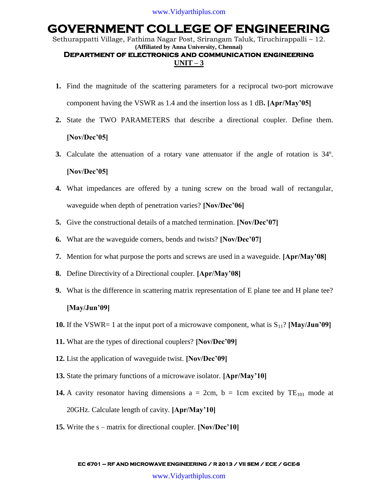Sethurappatti Village, Fathima Nagar Post, Srirangam Taluk, Tiruchirappalli – 12. **(Affiliated by Anna University, Chennai)**

### **Department of electronics and communication engineering**   $UNIT - 3$

- **1.** Find the magnitude of the scattering parameters for a reciprocal two-port microwave component having the VSWR as 1.4 and the insertion loss as 1 dB**. [Apr/May'05]**
- **2.** State the TWO PARAMETERS that describe a directional coupler. Define them. **[Nov/Dec'05]**
- **3.** Calculate the attenuation of a rotary vane attenuator if the angle of rotation is 34º. **[Nov/Dec'05]**
- **4.** What impedances are offered by a tuning screw on the broad wall of rectangular, waveguide when depth of penetration varies? **[Nov/Dec'06]**
- **5.** Give the constructional details of a matched termination. **[Nov/Dec'07]**
- **6.** What are the waveguide corners, bends and twists? **[Nov/Dec'07]**
- **7.** Mention for what purpose the ports and screws are used in a waveguide. **[Apr/May'08]**
- **8.** Define Directivity of a Directional coupler. **[Apr/May'08]**
- **9.** What is the difference in scattering matrix representation of E plane tee and H plane tee? **[May/Jun'09]**
- **10.** If the VSWR= 1 at the input port of a microwave component, what is  $S_{11}$ ? [May/Jun'09]
- **11.** What are the types of directional couplers? **[Nov/Dec'09]**
- **12.** List the application of waveguide twist. **[Nov/Dec'09]**
- **13.** State the primary functions of a microwave isolator. **[Apr/May'10]**
- **14.** A cavity resonator having dimensions  $a = 2cm$ ,  $b = 1cm$  excited by  $TE_{101}$  mode at 20GHz. Calculate length of cavity. **[Apr/May'10]**
- **15.** Write the s matrix for directional coupler. **[Nov/Dec'10]**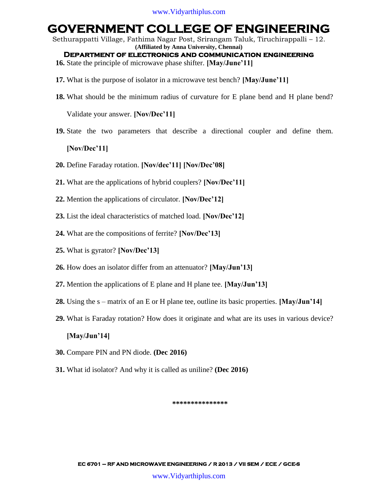Sethurappatti Village, Fathima Nagar Post, Srirangam Taluk, Tiruchirappalli – 12. **(Affiliated by Anna University, Chennai)**

**Department of electronics and communication engineering** 

**16.** State the principle of microwave phase shifter. **[May/June'11]**

- **17.** What is the purpose of isolator in a microwave test bench? **[May/June'11]**
- **18.** What should be the minimum radius of curvature for E plane bend and H plane bend?

Validate your answer. **[Nov/Dec'11]**

**19.** State the two parameters that describe a directional coupler and define them.

#### **[Nov/Dec'11]**

- **20.** Define Faraday rotation. **[Nov/dec'11] [Nov/Dec'08]**
- **21.** What are the applications of hybrid couplers? **[Nov/Dec'11]**
- **22.** Mention the applications of circulator. **[Nov/Dec'12]**
- **23.** List the ideal characteristics of matched load. **[Nov/Dec'12]**
- **24.** What are the compositions of ferrite? **[Nov/Dec'13]**
- **25.** What is gyrator? **[Nov/Dec'13]**
- **26.** How does an isolator differ from an attenuator? **[May/Jun'13]**
- **27.** Mention the applications of E plane and H plane tee. **[May/Jun'13]**
- **28.** Using the s matrix of an E or H plane tee, outline its basic properties. **[May/Jun'14]**
- **29.** What is Faraday rotation? How does it originate and what are its uses in various device? **[May/Jun'14]**
- **30.** Compare PIN and PN diode. **(Dec 2016)**
- **31.** What id isolator? And why it is called as uniline? **(Dec 2016)**

#### **\*\*\*\*\*\*\*\*\*\*\*\*\*\*\***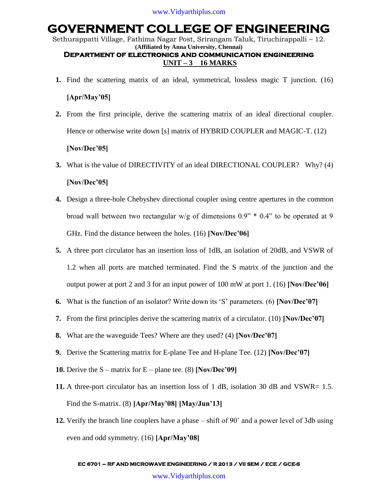Sethurappatti Village, Fathima Nagar Post, Srirangam Taluk, Tiruchirappalli – 12. **(Affiliated by Anna University, Chennai) Department of electronics and communication engineering** 

### **UNIT – 3 16 MARKS**

- **1.** Find the scattering matrix of an ideal, symmetrical, lossless magic T junction. (16) **[Apr/May'05]**
- **2.** From the first principle, derive the scattering matrix of an ideal directional coupler. Hence or otherwise write down [s] matrix of HYBRID COUPLER and MAGIC-T. (12) **[Nov/Dec'05]**
- **3.** What is the value of DIRECTIVITY of an ideal DIRECTIONAL COUPLER? Why? (4) **[Nov/Dec'05]**
- **4.** Design a three-hole Chebyshev directional coupler using centre apertures in the common broad wall between two rectangular w/g of dimensions 0.9" \* 0.4" to be operated at 9 GHz. Find the distance between the holes. (16) **[Nov/Dec'06]**
- **5.** A three port circulator has an insertion loss of 1dB, an isolation of 20dB, and VSWR of 1.2 when all ports are matched terminated. Find the S matrix of the junction and the output power at port 2 and 3 for an input power of 100 mW at port 1. (16) **[Nov/Dec'06]**
- **6.** What is the function of an isolator? Write down its "S" parameters. (6) **[Nov/Dec'07]**
- **7.** From the first principles derive the scattering matrix of a circulator. (10) **[Nov/Dec'07]**
- **8.** What are the waveguide Tees? Where are they used? (4) **[Nov/Dec'07]**
- **9.** Derive the Scattering matrix for E-plane Tee and H-plane Tee. (12) **[Nov/Dec'07]**
- **10.** Derive the S matrix for E plane tee. (8) **[Nov/Dec'09]**
- **11.** A three-port circulator has an insertion loss of 1 dB, isolation 30 dB and VSWR= 1.5. Find the S-matrix. (8) **[Apr/May'08] [May/Jun'13]**
- **12.** Verify the branch line couplers have a phase shift of 90˚ and a power level of 3db using even and odd symmetry. (16) **[Apr/May'08]**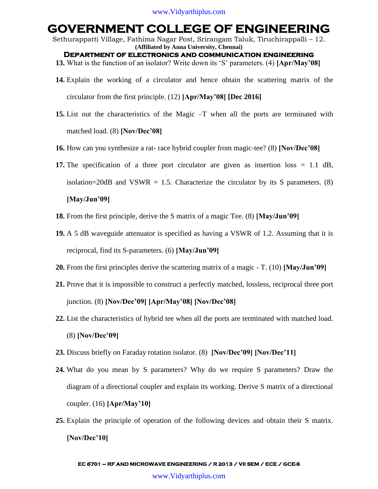Sethurappatti Village, Fathima Nagar Post, Srirangam Taluk, Tiruchirappalli – 12. **(Affiliated by Anna University, Chennai) Department of electronics and communication engineering** 

- **13.** What is the function of an isolator? Write down its "S" parameters. (4) **[Apr/May'08]**
- **14.** Explain the working of a circulator and hence obtain the scattering matrix of the circulator from the first principle. (12) **[Apr/May'08] [Dec 2016]**
- **15.** List out the characteristics of the Magic –T when all the ports are terminated with matched load. (8) **[Nov/Dec'08]**
- **16.** How can you synthesize a rat- race hybrid coupler from magic-tee? (8) **[Nov/Dec'08]**
- **17.** The specification of a three port circulator are given as insertion loss = 1.1 dB, isolation=20dB and VSWR = 1.5. Characterize the circulator by its S parameters. (8)

#### **[May/Jun'09]**

- **18.** From the first principle, derive the S matrix of a magic Tee. (8) **[May/Jun'09]**
- **19.** A 5 dB waveguide attenuator is specified as having a VSWR of 1.2. Assuming that it is reciprocal, find its S-parameters. (6) **[May/Jun'09]**
- **20.** From the first principles derive the scattering matrix of a magic T. (10) **[May/Jun'09]**
- **21.** Prove that it is impossible to construct a perfectly matched, lossless, reciprocal three port junction. (8) **[Nov/Dec'09] [Apr/May'08] [Nov/Dec'08]**
- **22.** List the characteristics of hybrid tee when all the ports are terminated with matched load. (8) **[Nov/Dec'09]**
- **23.** Discuss briefly on Faraday rotation isolator. (8) **[Nov/Dec'09] [Nov/Dec'11]**
- **24.** What do you mean by S parameters? Why do we require S parameters? Draw the diagram of a directional coupler and explain its working. Derive S matrix of a directional coupler. (16) **[Apr/May'10]**
- **25.** Explain the principle of operation of the following devices and obtain their S matrix. **[Nov/Dec'10]**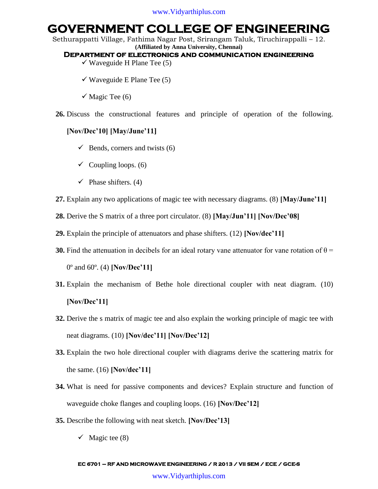Sethurappatti Village, Fathima Nagar Post, Srirangam Taluk, Tiruchirappalli – 12. **(Affiliated by Anna University, Chennai)**

#### **Department of electronics and communication engineering**

- $\checkmark$  Waveguide H Plane Tee (5)
- $\checkmark$  Waveguide E Plane Tee (5)
- $\checkmark$  Magic Tee (6)
- **26.** Discuss the constructional features and principle of operation of the following.

### **[Nov/Dec'10] [May/June'11]**

- $\checkmark$  Bends, corners and twists (6)
- $\checkmark$  Coupling loops. (6)
- $\checkmark$  Phase shifters. (4)
- **27.** Explain any two applications of magic tee with necessary diagrams. (8) **[May/June'11]**
- **28.** Derive the S matrix of a three port circulator. (8) **[May/Jun'11] [Nov/Dec'08]**
- **29.** Explain the principle of attenuators and phase shifters. (12) **[Nov/dec'11]**
- **30.** Find the attenuation in decibels for an ideal rotary vane attenuator for vane rotation of  $\theta$  = 0º and 60º. (4) **[Nov/Dec'11]**
- **31.** Explain the mechanism of Bethe hole directional coupler with neat diagram. (10) **[Nov/Dec'11]**
- **32.** Derive the s matrix of magic tee and also explain the working principle of magic tee with neat diagrams. (10) **[Nov/dec'11] [Nov/Dec'12]**
- **33.** Explain the two hole directional coupler with diagrams derive the scattering matrix for the same. (16) **[Nov/dec'11]**
- **34.** What is need for passive components and devices? Explain structure and function of waveguide choke flanges and coupling loops. (16) **[Nov/Dec'12]**
- **35.** Describe the following with neat sketch. **[Nov/Dec'13]**
	- $\checkmark$  Magic tee (8)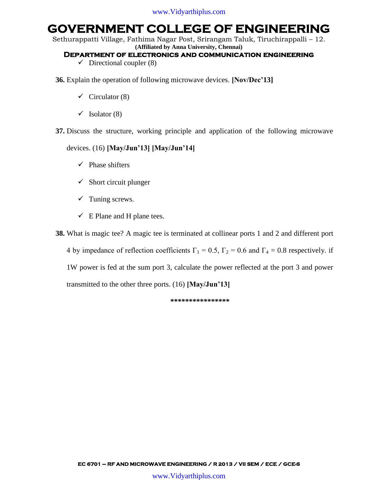Sethurappatti Village, Fathima Nagar Post, Srirangam Taluk, Tiruchirappalli – 12. **(Affiliated by Anna University, Chennai)**

#### **Department of electronics and communication engineering**

- $\checkmark$  Directional coupler (8)
- **36.** Explain the operation of following microwave devices. **[Nov/Dec'13]**
	- $\checkmark$  Circulator (8)
	- $\checkmark$  Isolator (8)
- **37.** Discuss the structure, working principle and application of the following microwave

#### devices. (16) **[May/Jun'13] [May/Jun'14]**

- $\checkmark$  Phase shifters
- $\checkmark$  Short circuit plunger
- $\checkmark$  Tuning screws.
- $\checkmark$  E Plane and H plane tees.

**38.** What is magic tee? A magic tee is terminated at collinear ports 1 and 2 and different port

4 by impedance of reflection coefficients  $\Gamma_1 = 0.5$ ,  $\Gamma_2 = 0.6$  and  $\Gamma_4 = 0.8$  respectively. if 1W power is fed at the sum port 3, calculate the power reflected at the port 3 and power transmitted to the other three ports. (16) **[May/Jun'13]**

**\*\*\*\*\*\*\*\*\*\*\*\*\*\*\*\***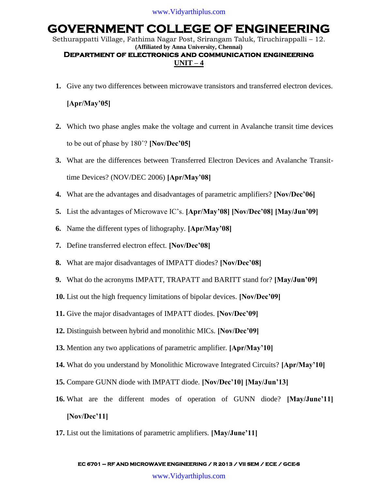Sethurappatti Village, Fathima Nagar Post, Srirangam Taluk, Tiruchirappalli – 12. **(Affiliated by Anna University, Chennai)**

### **Department of electronics and communication engineering**   $UNIT-4$

**1.** Give any two differences between microwave transistors and transferred electron devices.

### **[Apr/May'05]**

- **2.** Which two phase angles make the voltage and current in Avalanche transit time devices to be out of phase by 180˚? **[Nov/Dec'05]**
- **3.** What are the differences between Transferred Electron Devices and Avalanche Transittime Devices? (NOV/DEC 2006) **[Apr/May'08]**
- **4.** What are the advantages and disadvantages of parametric amplifiers? **[Nov/Dec'06]**
- **5.** List the advantages of Microwave IC"s. **[Apr/May'08] [Nov/Dec'08] [May/Jun'09]**
- **6.** Name the different types of lithography. **[Apr/May'08]**
- **7.** Define transferred electron effect. **[Nov/Dec'08]**
- **8.** What are major disadvantages of IMPATT diodes? **[Nov/Dec'08]**
- **9.** What do the acronyms IMPATT, TRAPATT and BARITT stand for? **[May/Jun'09]**
- **10.** List out the high frequency limitations of bipolar devices. **[Nov/Dec'09]**
- **11.** Give the major disadvantages of IMPATT diodes. **[Nov/Dec'09]**
- **12.** Distinguish between hybrid and monolithic MICs. **[Nov/Dec'09]**
- **13.** Mention any two applications of parametric amplifier. **[Apr/May'10]**
- **14.** What do you understand by Monolithic Microwave Integrated Circuits? **[Apr/May'10]**
- **15.** Compare GUNN diode with IMPATT diode. **[Nov/Dec'10] [May/Jun'13]**
- **16.** What are the different modes of operation of GUNN diode? **[May/June'11] [Nov/Dec'11]**
- **17.** List out the limitations of parametric amplifiers. **[May/June'11]**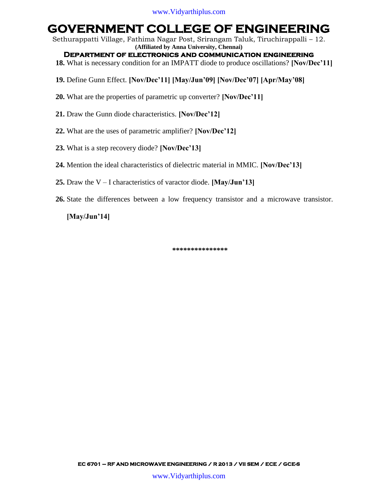Sethurappatti Village, Fathima Nagar Post, Srirangam Taluk, Tiruchirappalli – 12. **(Affiliated by Anna University, Chennai)**

**Department of electronics and communication engineering** 

**18.** What is necessary condition for an IMPATT diode to produce oscillations? **[Nov/Dec'11]**

- **19.** Define Gunn Effect. **[Nov/Dec'11] [May/Jun'09] [Nov/Dec'07] [Apr/May'08]**
- **20.** What are the properties of parametric up converter? **[Nov/Dec'11]**
- **21.** Draw the Gunn diode characteristics. **[Nov/Dec'12]**
- **22.** What are the uses of parametric amplifier? **[Nov/Dec'12]**
- **23.** What is a step recovery diode? **[Nov/Dec'13]**
- **24.** Mention the ideal characteristics of dielectric material in MMIC. **[Nov/Dec'13]**
- **25.** Draw the V I characteristics of varactor diode. **[May/Jun'13]**
- **26.** State the differences between a low frequency transistor and a microwave transistor.

**[May/Jun'14]**

**\*\*\*\*\*\*\*\*\*\*\*\*\*\*\***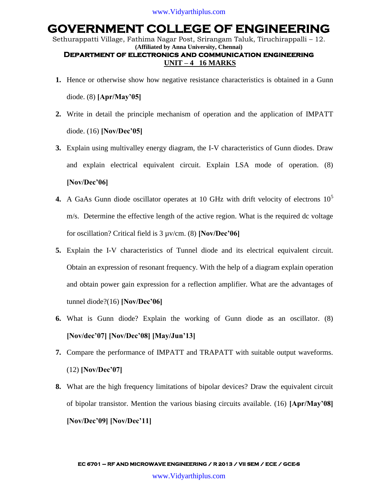Sethurappatti Village, Fathima Nagar Post, Srirangam Taluk, Tiruchirappalli – 12. **(Affiliated by Anna University, Chennai) Department of electronics and communication engineering UNIT – 4 16 MARKS**

- **1.** Hence or otherwise show how negative resistance characteristics is obtained in a Gunn diode. (8) **[Apr/May'05]**
- **2.** Write in detail the principle mechanism of operation and the application of IMPATT diode. (16) **[Nov/Dec'05]**
- **3.** Explain using multivalley energy diagram, the I-V characteristics of Gunn diodes. Draw and explain electrical equivalent circuit. Explain LSA mode of operation. (8) **[Nov/Dec'06]**
- **4.** A GaAs Gunn diode oscillator operates at 10 GHz with drift velocity of electrons 10<sup>5</sup> m/s. Determine the effective length of the active region. What is the required dc voltage for oscillation? Critical field is 3 µv/cm. (8) **[Nov/Dec'06]**
- **5.** Explain the I-V characteristics of Tunnel diode and its electrical equivalent circuit. Obtain an expression of resonant frequency. With the help of a diagram explain operation and obtain power gain expression for a reflection amplifier. What are the advantages of tunnel diode?(16) **[Nov/Dec'06]**
- **6.** What is Gunn diode? Explain the working of Gunn diode as an oscillator. (8) **[Nov/dec'07] [Nov/Dec'08] [May/Jun'13]**
- **7.** Compare the performance of IMPATT and TRAPATT with suitable output waveforms. (12) **[Nov/Dec'07]**
- **8.** What are the high frequency limitations of bipolar devices? Draw the equivalent circuit of bipolar transistor. Mention the various biasing circuits available. (16) **[Apr/May'08] [Nov/Dec'09] [Nov/Dec'11]**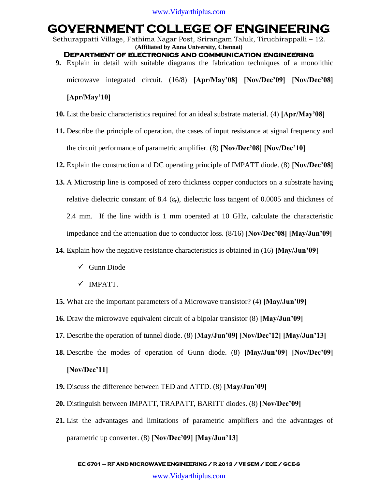Sethurappatti Village, Fathima Nagar Post, Srirangam Taluk, Tiruchirappalli – 12. **(Affiliated by Anna University, Chennai)**

- **Department of electronics and communication engineering**
- **9.** Explain in detail with suitable diagrams the fabrication techniques of a monolithic

microwave integrated circuit. (16/8) **[Apr/May'08] [Nov/Dec'09] [Nov/Dec'08]** 

#### **[Apr/May'10]**

- **10.** List the basic characteristics required for an ideal substrate material. (4) **[Apr/May'08]**
- **11.** Describe the principle of operation, the cases of input resistance at signal frequency and the circuit performance of parametric amplifier. (8) **[Nov/Dec'08] [Nov/Dec'10]**
- **12.** Explain the construction and DC operating principle of IMPATT diode. (8) **[Nov/Dec'08]**
- **13.** A Microstrip line is composed of zero thickness copper conductors on a substrate having relative dielectric constant of 8.4 ( $\varepsilon_r$ ), dielectric loss tangent of 0.0005 and thickness of 2.4 mm. If the line width is 1 mm operated at 10 GHz, calculate the characteristic impedance and the attenuation due to conductor loss. (8/16) **[Nov/Dec'08] [May/Jun'09]**
- **14.** Explain how the negative resistance characteristics is obtained in (16) **[May/Jun'09]**
	- $\checkmark$  Gunn Diode
	- $\times$  IMPATT.
- **15.** What are the important parameters of a Microwave transistor? (4) **[May/Jun'09]**
- **16.** Draw the microwave equivalent circuit of a bipolar transistor (8) **[May/Jun'09]**
- **17.** Describe the operation of tunnel diode. (8) **[May/Jun'09] [Nov/Dec'12] [May/Jun'13]**
- **18.** Describe the modes of operation of Gunn diode. (8) **[May/Jun'09] [Nov/Dec'09] [Nov/Dec'11]**
- **19.** Discuss the difference between TED and ATTD. (8) **[May/Jun'09]**
- **20.** Distinguish between IMPATT, TRAPATT, BARITT diodes. (8) **[Nov/Dec'09]**
- **21.** List the advantages and limitations of parametric amplifiers and the advantages of parametric up converter. (8) **[Nov/Dec'09] [May/Jun'13]**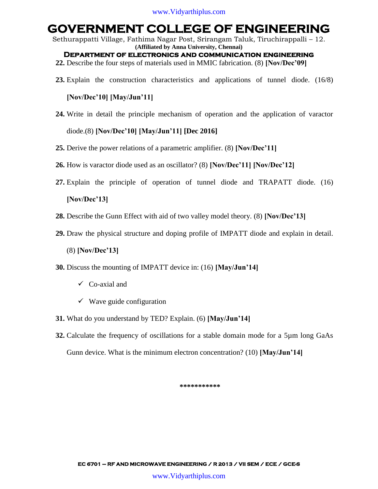Sethurappatti Village, Fathima Nagar Post, Srirangam Taluk, Tiruchirappalli – 12. **(Affiliated by Anna University, Chennai)**

**Department of electronics and communication engineering** 

- **22.** Describe the four steps of materials used in MMIC fabrication. (8) **[Nov/Dec'09]**
- **23.** Explain the construction characteristics and applications of tunnel diode. (16/8)

#### **[Nov/Dec'10] [May/Jun'11]**

**24.** Write in detail the principle mechanism of operation and the application of varactor

diode.(8) **[Nov/Dec'10] [May/Jun'11] [Dec 2016]**

- **25.** Derive the power relations of a parametric amplifier. (8) **[Nov/Dec'11]**
- **26.** How is varactor diode used as an oscillator? (8) **[Nov/Dec'11] [Nov/Dec'12]**
- **27.** Explain the principle of operation of tunnel diode and TRAPATT diode. (16)

#### **[Nov/Dec'13]**

- **28.** Describe the Gunn Effect with aid of two valley model theory. (8) **[Nov/Dec'13]**
- **29.** Draw the physical structure and doping profile of IMPATT diode and explain in detail.
	- (8) **[Nov/Dec'13]**
- **30.** Discuss the mounting of IMPATT device in: (16) **[May/Jun'14]**
	- $\checkmark$  Co-axial and
	- $\checkmark$  Wave guide configuration
- **31.** What do you understand by TED? Explain. (6) **[May/Jun'14]**
- **32.** Calculate the frequency of oscillations for a stable domain mode for a 5µm long GaAs Gunn device. What is the minimum electron concentration? (10) **[May/Jun'14]**

**\*\*\*\*\*\*\*\*\*\*\***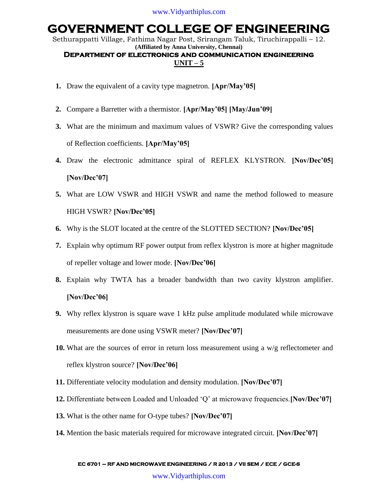Sethurappatti Village, Fathima Nagar Post, Srirangam Taluk, Tiruchirappalli – 12. **(Affiliated by Anna University, Chennai)**

#### **Department of electronics and communication engineering**   $UNIT - 5$

- **1.** Draw the equivalent of a cavity type magnetron. **[Apr/May'05]**
- **2.** Compare a Barretter with a thermistor. **[Apr/May'05] [May/Jun'09]**
- **3.** What are the minimum and maximum values of VSWR? Give the corresponding values of Reflection coefficients. **[Apr/May'05]**
- **4.** Draw the electronic admittance spiral of REFLEX KLYSTRON. **[Nov/Dec'05] [Nov/Dec'07]**
- **5.** What are LOW VSWR and HIGH VSWR and name the method followed to measure HIGH VSWR? **[Nov/Dec'05]**
- **6.** Why is the SLOT located at the centre of the SLOTTED SECTION? **[Nov/Dec'05]**
- **7.** Explain why optimum RF power output from reflex klystron is more at higher magnitude of repeller voltage and lower mode. **[Nov/Dec'06]**
- **8.** Explain why TWTA has a broader bandwidth than two cavity klystron amplifier. **[Nov/Dec'06]**
- **9.** Why reflex klystron is square wave 1 kHz pulse amplitude modulated while microwave measurements are done using VSWR meter? **[Nov/Dec'07]**
- **10.** What are the sources of error in return loss measurement using a w/g reflectometer and reflex klystron source? **[Nov/Dec'06]**
- **11.** Differentiate velocity modulation and density modulation. **[Nov/Dec'07]**
- **12.** Differentiate between Loaded and Unloaded "Q" at microwave frequencies.**[Nov/Dec'07]**
- **13.** What is the other name for O-type tubes? **[Nov/Dec'07]**
- **14.** Mention the basic materials required for microwave integrated circuit. **[Nov/Dec'07]**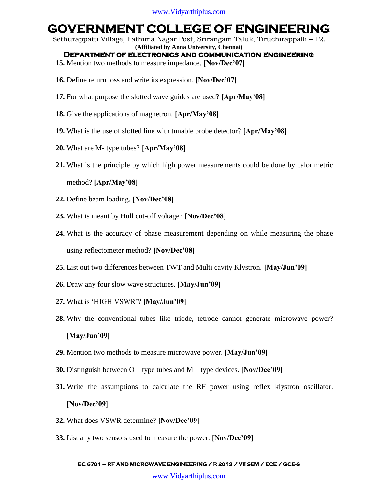Sethurappatti Village, Fathima Nagar Post, Srirangam Taluk, Tiruchirappalli – 12. **(Affiliated by Anna University, Chennai)**

#### **Department of electronics and communication engineering**

- **15.** Mention two methods to measure impedance. **[Nov/Dec'07]**
- **16.** Define return loss and write its expression. **[Nov/Dec'07]**
- **17.** For what purpose the slotted wave guides are used? **[Apr/May'08]**
- **18.** Give the applications of magnetron. **[Apr/May'08]**
- **19.** What is the use of slotted line with tunable probe detector? **[Apr/May'08]**
- **20.** What are M- type tubes? **[Apr/May'08]**
- **21.** What is the principle by which high power measurements could be done by calorimetric method? **[Apr/May'08]**
- **22.** Define beam loading. **[Nov/Dec'08]**
- **23.** What is meant by Hull cut-off voltage? **[Nov/Dec'08]**
- **24.** What is the accuracy of phase measurement depending on while measuring the phase using reflectometer method? **[Nov/Dec'08]**
- **25.** List out two differences between TWT and Multi cavity Klystron. **[May/Jun'09]**
- **26.** Draw any four slow wave structures. **[May/Jun'09]**
- **27.** What is "HIGH VSWR"? **[May/Jun'09]**
- **28.** Why the conventional tubes like triode, tetrode cannot generate microwave power? **[May/Jun'09]**
- **29.** Mention two methods to measure microwave power. **[May/Jun'09]**
- **30.** Distinguish between O type tubes and M type devices. **[Nov/Dec'09]**
- **31.** Write the assumptions to calculate the RF power using reflex klystron oscillator. **[Nov/Dec'09]**
- **32.** What does VSWR determine? **[Nov/Dec'09]**
- **33.** List any two sensors used to measure the power. **[Nov/Dec'09]**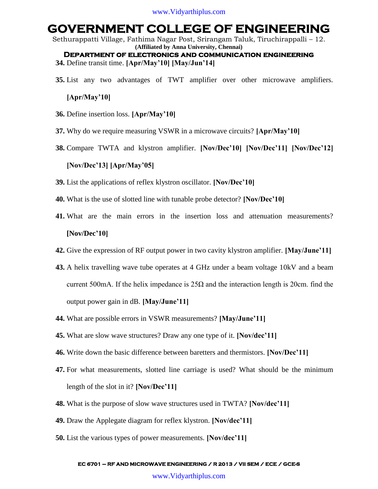Sethurappatti Village, Fathima Nagar Post, Srirangam Taluk, Tiruchirappalli – 12. **(Affiliated by Anna University, Chennai)**

**Department of electronics and communication engineering 34.** Define transit time. **[Apr/May'10] [May/Jun'14]**

**35.** List any two advantages of TWT amplifier over other microwave amplifiers.

#### **[Apr/May'10]**

- **36.** Define insertion loss. **[Apr/May'10]**
- **37.** Why do we require measuring VSWR in a microwave circuits? **[Apr/May'10]**
- **38.** Compare TWTA and klystron amplifier. **[Nov/Dec'10] [Nov/Dec'11] [Nov/Dec'12] [Nov/Dec'13] [Apr/May'05]**
- **39.** List the applications of reflex klystron oscillator. **[Nov/Dec'10]**
- **40.** What is the use of slotted line with tunable probe detector? **[Nov/Dec'10]**
- **41.** What are the main errors in the insertion loss and attenuation measurements? **[Nov/Dec'10]**
- **42.** Give the expression of RF output power in two cavity klystron amplifier. **[May/June'11]**
- **43.** A helix travelling wave tube operates at 4 GHz under a beam voltage 10kV and a beam current 500mA. If the helix impedance is  $25\Omega$  and the interaction length is 20cm. find the output power gain in dB. **[May/June'11]**
- **44.** What are possible errors in VSWR measurements? **[May/June'11]**
- **45.** What are slow wave structures? Draw any one type of it. **[Nov/dec'11]**
- **46.** Write down the basic difference between baretters and thermistors. **[Nov/Dec'11]**
- **47.** For what measurements, slotted line carriage is used? What should be the minimum length of the slot in it? **[Nov/Dec'11]**
- **48.** What is the purpose of slow wave structures used in TWTA? **[Nov/dec'11]**
- **49.** Draw the Applegate diagram for reflex klystron. **[Nov/dec'11]**
- **50.** List the various types of power measurements. **[Nov/dec'11]**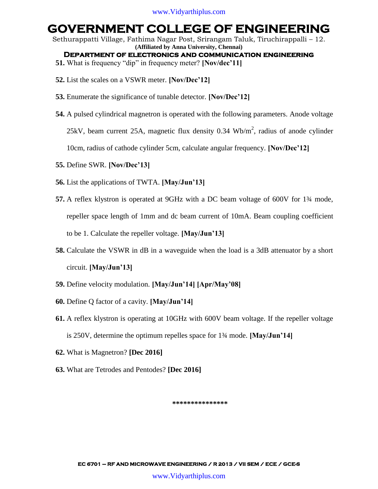Sethurappatti Village, Fathima Nagar Post, Srirangam Taluk, Tiruchirappalli – 12. **(Affiliated by Anna University, Chennai)**

**Department of electronics and communication engineering** 

- **51.** What is frequency "dip" in frequency meter? **[Nov/dec'11]**
- **52.** List the scales on a VSWR meter. **[Nov/Dec'12]**
- **53.** Enumerate the significance of tunable detector. **[Nov/Dec'12]**
- **54.** A pulsed cylindrical magnetron is operated with the following parameters. Anode voltage

25kV, beam current 25A, magnetic flux density  $0.34 \text{ Wb/m}^2$ , radius of anode cylinder

10cm, radius of cathode cylinder 5cm, calculate angular frequency. **[Nov/Dec'12]**

- **55.** Define SWR. **[Nov/Dec'13]**
- **56.** List the applications of TWTA. **[May/Jun'13]**
- **57.** A reflex klystron is operated at 9GHz with a DC beam voltage of 600V for 1¾ mode, repeller space length of 1mm and dc beam current of 10mA. Beam coupling coefficient to be 1. Calculate the repeller voltage. **[May/Jun'13]**
- **58.** Calculate the VSWR in dB in a waveguide when the load is a 3dB attenuator by a short circuit. **[May/Jun'13]**
- **59.** Define velocity modulation. **[May/Jun'14] [Apr/May'08]**
- **60.** Define Q factor of a cavity. **[May/Jun'14]**
- **61.** A reflex klystron is operating at 10GHz with 600V beam voltage. If the repeller voltage is 250V, determine the optimum repelles space for 1¾ mode. **[May/Jun'14]**
- **62.** What is Magnetron? **[Dec 2016]**
- **63.** What are Tetrodes and Pentodes? **[Dec 2016]**

**\*\*\*\*\*\*\*\*\*\*\*\*\*\*\***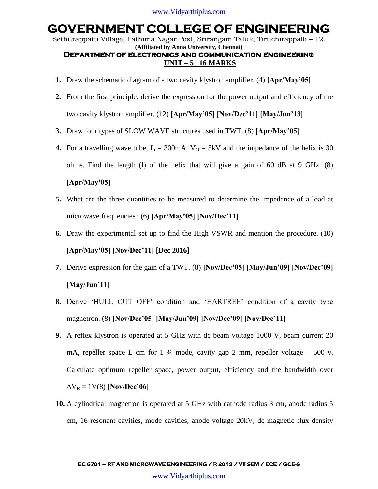Sethurappatti Village, Fathima Nagar Post, Srirangam Taluk, Tiruchirappalli – 12. **(Affiliated by Anna University, Chennai)**

### **Department of electronics and communication engineering UNIT – 5 16 MARKS**

- **1.** Draw the schematic diagram of a two cavity klystron amplifier. (4) **[Apr/May'05]**
- **2.** From the first principle, derive the expression for the power output and efficiency of the two cavity klystron amplifier. (12) **[Apr/May'05] [Nov/Dec'11] [May/Jun'13]**
- **3.** Draw four types of SLOW WAVE structures used in TWT. (8) **[Apr/May'05]**
- **4.** For a travelling wave tube,  $I_0 = 300 \text{mA}$ ,  $V_0 = 5 \text{kV}$  and the impedance of the helix is 30 ohms. Find the length (l) of the helix that will give a gain of 60 dB at 9 GHz. (8)

#### **[Apr/May'05]**

- **5.** What are the three quantities to be measured to determine the impedance of a load at microwave frequencies? (6) **[Apr/May'05] [Nov/Dec'11]**
- **6.** Draw the experimental set up to find the High VSWR and mention the procedure. (10) **[Apr/May'05] [Nov/Dec'11] [Dec 2016]**
- **7.** Derive expression for the gain of a TWT. (8) **[Nov/Dec'05] [May/Jun'09] [Nov/Dec'09] [May/Jun'11]**
- **8.** Derive "HULL CUT OFF" condition and "HARTREE" condition of a cavity type magnetron. (8) **[Nov/Dec'05] [May/Jun'09] [Nov/Dec'09] [Nov/Dec'11]**
- **9.** A reflex klystron is operated at 5 GHz with dc beam voltage 1000 V, beam current 20 mA, repeller space L cm for 1  $\frac{3}{4}$  mode, cavity gap 2 mm, repeller voltage – 500 v. Calculate optimum repeller space, power output, efficiency and the bandwidth over  $\Delta V_R = 1 V(8)$  **[Nov/Dec'06]**
- **10.** A cylindrical magnetron is operated at 5 GHz with cathode radius 3 cm, anode radius 5 cm, 16 resonant cavities, mode cavities, anode voltage 20kV, dc magnetic flux density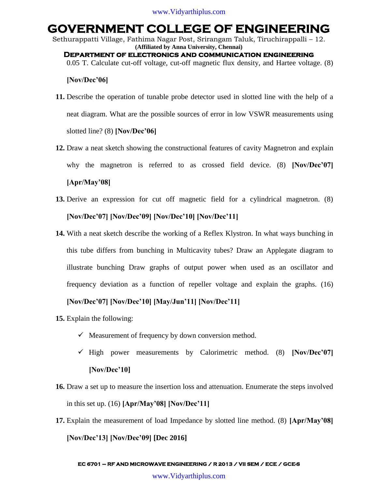Sethurappatti Village, Fathima Nagar Post, Srirangam Taluk, Tiruchirappalli – 12. **(Affiliated by Anna University, Chennai) Department of electronics and communication engineering** 

0.05 T. Calculate cut-off voltage, cut-off magnetic flux density, and Hartee voltage. (8)

#### **[Nov/Dec'06]**

- **11.** Describe the operation of tunable probe detector used in slotted line with the help of a neat diagram. What are the possible sources of error in low VSWR measurements using slotted line? (8) **[Nov/Dec'06]**
- **12.** Draw a neat sketch showing the constructional features of cavity Magnetron and explain why the magnetron is referred to as crossed field device. (8) **[Nov/Dec'07]**

#### **[Apr/May'08]**

- **13.** Derive an expression for cut off magnetic field for a cylindrical magnetron. (8) **[Nov/Dec'07] [Nov/Dec'09] [Nov/Dec'10] [Nov/Dec'11]**
- **14.** With a neat sketch describe the working of a Reflex Klystron. In what ways bunching in this tube differs from bunching in Multicavity tubes? Draw an Applegate diagram to illustrate bunching Draw graphs of output power when used as an oscillator and frequency deviation as a function of repeller voltage and explain the graphs. (16)

#### **[Nov/Dec'07] [Nov/Dec'10] [May/Jun'11] [Nov/Dec'11]**

- **15.** Explain the following:
	- $\checkmark$  Measurement of frequency by down conversion method.
	- $\checkmark$  High power measurements by Calorimetric method. (8) [Nov/Dec<sup>2</sup>07] **[Nov/Dec'10]**
- **16.** Draw a set up to measure the insertion loss and attenuation. Enumerate the steps involved in this set up. (16) **[Apr/May'08] [Nov/Dec'11]**
- **17.** Explain the measurement of load Impedance by slotted line method. (8) **[Apr/May'08] [Nov/Dec'13] [Nov/Dec'09] [Dec 2016]**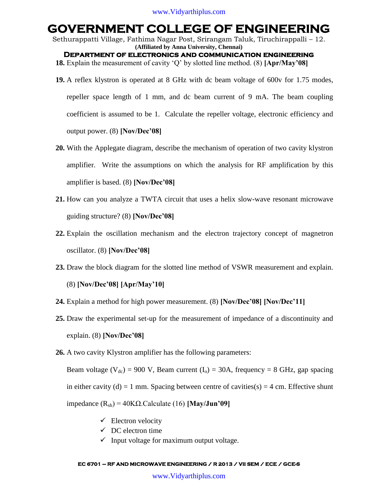Sethurappatti Village, Fathima Nagar Post, Srirangam Taluk, Tiruchirappalli – 12. **(Affiliated by Anna University, Chennai) Department of electronics and communication engineering** 

**18.** Explain the measurement of cavity "Q" by slotted line method. (8) **[Apr/May'08]**

- **19.** A reflex klystron is operated at 8 GHz with dc beam voltage of 600v for 1.75 modes, repeller space length of 1 mm, and dc beam current of 9 mA. The beam coupling coefficient is assumed to be 1. Calculate the repeller voltage, electronic efficiency and output power. (8) **[Nov/Dec'08]**
- **20.** With the Applegate diagram, describe the mechanism of operation of two cavity klystron amplifier. Write the assumptions on which the analysis for RF amplification by this amplifier is based. (8) **[Nov/Dec'08]**
- **21.** How can you analyze a TWTA circuit that uses a helix slow-wave resonant microwave guiding structure? (8) **[Nov/Dec'08]**
- **22.** Explain the oscillation mechanism and the electron trajectory concept of magnetron oscillator. (8) **[Nov/Dec'08]**
- **23.** Draw the block diagram for the slotted line method of VSWR measurement and explain.

(8) **[Nov/Dec'08] [Apr/May'10]**

- **24.** Explain a method for high power measurement. (8) **[Nov/Dec'08] [Nov/Dec'11]**
- **25.** Draw the experimental set-up for the measurement of impedance of a discontinuity and explain. (8) **[Nov/Dec'08]**
- **26.** A two cavity Klystron amplifier has the following parameters:

Beam voltage (V<sub>dc</sub>) = 900 V, Beam current (I<sub>0</sub>) = 30A, frequency = 8 GHz, gap spacing in either cavity (d) = 1 mm. Spacing between centre of cavities(s) = 4 cm. Effective shunt impedance (Rsh) = 40KΩ.Calculate (16) **[May/Jun'09]**

- $\checkmark$  Electron velocity
- $\checkmark$  DC electron time
- $\checkmark$  Input voltage for maximum output voltage.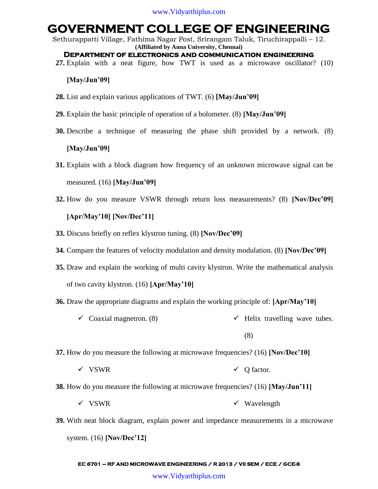Sethurappatti Village, Fathima Nagar Post, Srirangam Taluk, Tiruchirappalli – 12. **(Affiliated by Anna University, Chennai)**

- **Department of electronics and communication engineering**
- **27.** Explain with a neat figure, how TWT is used as a microwave oscillator? (10)

#### **[May/Jun'09]**

- **28.** List and explain various applications of TWT. (6) **[May/Jun'09]**
- **29.** Explain the basic principle of operation of a bolometer. (8) **[May/Jun'09]**
- **30.** Describe a technique of measuring the phase shift provided by a network. (8)

#### **[May/Jun'09]**

- **31.** Explain with a block diagram how frequency of an unknown microwave signal can be measured. (16) **[May/Jun'09]**
- **32.** How do you measure VSWR through return loss measurements? (8) **[Nov/Dec'09]**

### **[Apr/May'10] [Nov/Dec'11]**

- **33.** Discuss briefly on reflex klystron tuning. (8) **[Nov/Dec'09]**
- **34.** Compare the features of velocity modulation and density modulation. (8) **[Nov/Dec'09]**
- **35.** Draw and explain the working of multi cavity klystron. Write the mathematical analysis of two cavity klystron. (16) **[Apr/May'10]**
- **36.** Draw the appropriate diagrams and explain the working principle of: **[Apr/May'10]**
	- $\checkmark$  Coaxial magnetron. (8)  $\checkmark$  Helix travelling wave tubes.

(8)

- **37.** How do you measure the following at microwave frequencies? (16) **[Nov/Dec'10]**
	- $\checkmark$  VSWR  $\checkmark$  O factor.
- **38.** How do you measure the following at microwave frequencies? (16) **[May/Jun'11]**
	- $\checkmark$  VSWR  $\checkmark$  Wavelength
- **39.** With neat block diagram, explain power and impedance measurements in a microwave system. (16) **[Nov/Dec'12]**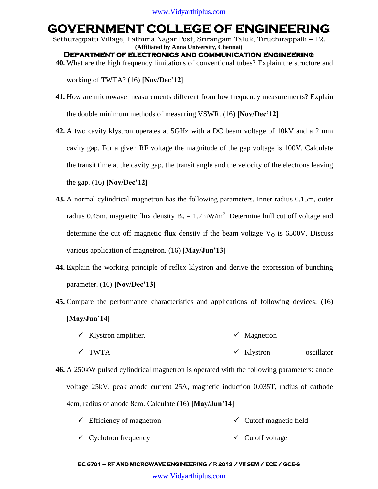Sethurappatti Village, Fathima Nagar Post, Srirangam Taluk, Tiruchirappalli – 12. **(Affiliated by Anna University, Chennai) Department of electronics and communication engineering** 

**40.** What are the high frequency limitations of conventional tubes? Explain the structure and

working of TWTA? (16) **[Nov/Dec'12]**

- **41.** How are microwave measurements different from low frequency measurements? Explain the double minimum methods of measuring VSWR. (16) **[Nov/Dec'12]**
- **42.** A two cavity klystron operates at 5GHz with a DC beam voltage of 10kV and a 2 mm cavity gap. For a given RF voltage the magnitude of the gap voltage is 100V. Calculate the transit time at the cavity gap, the transit angle and the velocity of the electrons leaving the gap. (16) **[Nov/Dec'12]**
- **43.** A normal cylindrical magnetron has the following parameters. Inner radius 0.15m, outer radius 0.45m, magnetic flux density  $B_0 = 1.2$ mW/m<sup>2</sup>. Determine hull cut off voltage and determine the cut off magnetic flux density if the beam voltage  $V<sub>0</sub>$  is 6500V. Discuss various application of magnetron. (16) **[May/Jun'13]**
- **44.** Explain the working principle of reflex klystron and derive the expression of bunching parameter. (16) **[Nov/Dec'13]**
- **45.** Compare the performance characteristics and applications of following devices: (16) **[May/Jun'14]**
	- $\checkmark$  Klystron amplifier. TWTA  $\checkmark$  Magnetron Klystron oscillator
- **46.** A 250kW pulsed cylindrical magnetron is operated with the following parameters: anode voltage 25kV, peak anode current 25A, magnetic induction 0.035T, radius of cathode 4cm, radius of anode 8cm. Calculate (16) **[May/Jun'14]**
	- $\checkmark$  Efficiency of magnetron  $\checkmark$  Cutoff magnetic field
	- $\checkmark$  Cyclotron frequency  $\checkmark$  Cutoff voltage